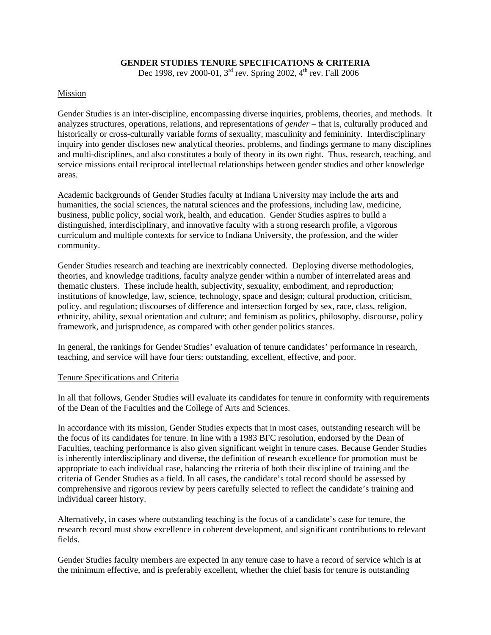### **GENDER STUDIES TENURE SPECIFICATIONS & CRITERIA**

Dec 1998, rev 2000-01, 3<sup>rd</sup> rev. Spring 2002, 4<sup>th</sup> rev. Fall 2006

### Mission

Gender Studies is an inter-discipline, encompassing diverse inquiries, problems, theories, and methods. It analyzes structures, operations, relations, and representations of *gender* – that is, culturally produced and historically or cross-culturally variable forms of sexuality, masculinity and femininity. Interdisciplinary inquiry into gender discloses new analytical theories, problems, and findings germane to many disciplines and multi-disciplines, and also constitutes a body of theory in its own right. Thus, research, teaching, and service missions entail reciprocal intellectual relationships between gender studies and other knowledge areas.

Academic backgrounds of Gender Studies faculty at Indiana University may include the arts and humanities, the social sciences, the natural sciences and the professions, including law, medicine, business, public policy, social work, health, and education. Gender Studies aspires to build a distinguished, interdisciplinary, and innovative faculty with a strong research profile, a vigorous curriculum and multiple contexts for service to Indiana University, the profession, and the wider community.

Gender Studies research and teaching are inextricably connected. Deploying diverse methodologies, theories, and knowledge traditions, faculty analyze gender within a number of interrelated areas and thematic clusters. These include health, subjectivity, sexuality, embodiment, and reproduction; institutions of knowledge, law, science, technology, space and design; cultural production, criticism, policy, and regulation; discourses of difference and intersection forged by sex, race, class, religion, ethnicity, ability, sexual orientation and culture; and feminism as politics, philosophy, discourse, policy framework, and jurisprudence, as compared with other gender politics stances.

In general, the rankings for Gender Studies' evaluation of tenure candidates' performance in research, teaching, and service will have four tiers: outstanding, excellent, effective, and poor.

#### Tenure Specifications and Criteria

In all that follows, Gender Studies will evaluate its candidates for tenure in conformity with requirements of the Dean of the Faculties and the College of Arts and Sciences.

In accordance with its mission, Gender Studies expects that in most cases, outstanding research will be the focus of its candidates for tenure. In line with a 1983 BFC resolution, endorsed by the Dean of Faculties, teaching performance is also given significant weight in tenure cases. Because Gender Studies is inherently interdisciplinary and diverse, the definition of research excellence for promotion must be appropriate to each individual case, balancing the criteria of both their discipline of training and the criteria of Gender Studies as a field. In all cases, the candidate's total record should be assessed by comprehensive and rigorous review by peers carefully selected to reflect the candidate's training and individual career history.

Alternatively, in cases where outstanding teaching is the focus of a candidate's case for tenure, the research record must show excellence in coherent development, and significant contributions to relevant fields.

Gender Studies faculty members are expected in any tenure case to have a record of service which is at the minimum effective, and is preferably excellent, whether the chief basis for tenure is outstanding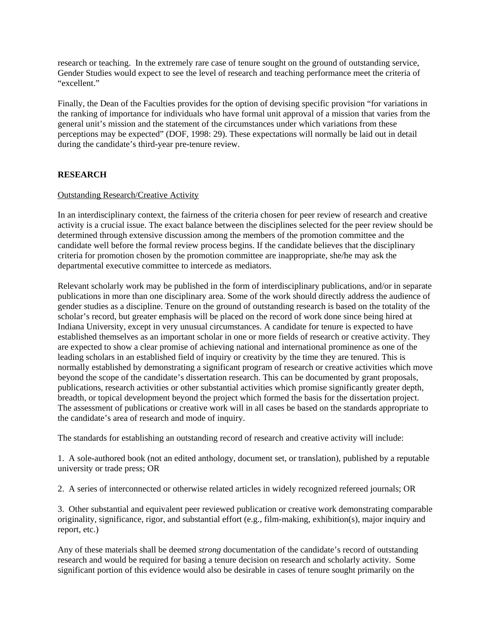research or teaching. In the extremely rare case of tenure sought on the ground of outstanding service, Gender Studies would expect to see the level of research and teaching performance meet the criteria of "excellent"

Finally, the Dean of the Faculties provides for the option of devising specific provision "for variations in the ranking of importance for individuals who have formal unit approval of a mission that varies from the general unit's mission and the statement of the circumstances under which variations from these perceptions may be expected" (DOF, 1998: 29). These expectations will normally be laid out in detail during the candidate's third-year pre-tenure review.

# **RESEARCH**

#### Outstanding Research/Creative Activity

In an interdisciplinary context, the fairness of the criteria chosen for peer review of research and creative activity is a crucial issue. The exact balance between the disciplines selected for the peer review should be determined through extensive discussion among the members of the promotion committee and the candidate well before the formal review process begins. If the candidate believes that the disciplinary criteria for promotion chosen by the promotion committee are inappropriate, she/he may ask the departmental executive committee to intercede as mediators.

Relevant scholarly work may be published in the form of interdisciplinary publications, and/or in separate publications in more than one disciplinary area. Some of the work should directly address the audience of gender studies as a discipline. Tenure on the ground of outstanding research is based on the totality of the scholar's record, but greater emphasis will be placed on the record of work done since being hired at Indiana University, except in very unusual circumstances. A candidate for tenure is expected to have established themselves as an important scholar in one or more fields of research or creative activity. They are expected to show a clear promise of achieving national and international prominence as one of the leading scholars in an established field of inquiry or creativity by the time they are tenured. This is normally established by demonstrating a significant program of research or creative activities which move beyond the scope of the candidate's dissertation research. This can be documented by grant proposals, publications, research activities or other substantial activities which promise significantly greater depth, breadth, or topical development beyond the project which formed the basis for the dissertation project. The assessment of publications or creative work will in all cases be based on the standards appropriate to the candidate's area of research and mode of inquiry.

The standards for establishing an outstanding record of research and creative activity will include:

1. A sole-authored book (not an edited anthology, document set, or translation), published by a reputable university or trade press; OR

2. A series of interconnected or otherwise related articles in widely recognized refereed journals; OR

3. Other substantial and equivalent peer reviewed publication or creative work demonstrating comparable originality, significance, rigor, and substantial effort (e.g., film-making, exhibition(s), major inquiry and report, etc.)

Any of these materials shall be deemed *strong* documentation of the candidate's record of outstanding research and would be required for basing a tenure decision on research and scholarly activity. Some significant portion of this evidence would also be desirable in cases of tenure sought primarily on the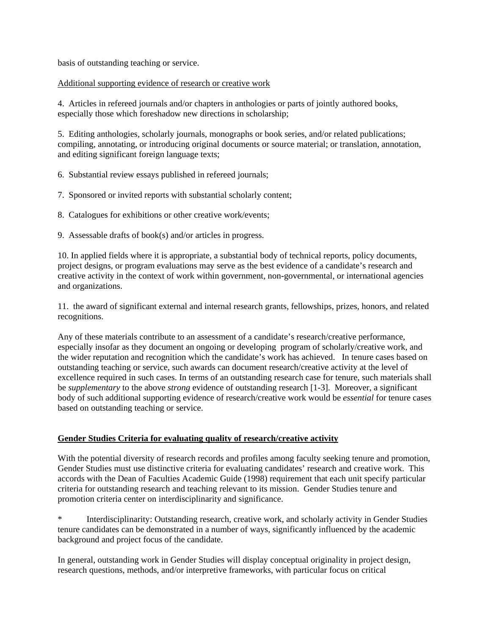basis of outstanding teaching or service.

### Additional supporting evidence of research or creative work

4. Articles in refereed journals and/or chapters in anthologies or parts of jointly authored books, especially those which foreshadow new directions in scholarship;

5. Editing anthologies, scholarly journals, monographs or book series, and/or related publications; compiling, annotating, or introducing original documents or source material; or translation, annotation, and editing significant foreign language texts;

- 6. Substantial review essays published in refereed journals;
- 7. Sponsored or invited reports with substantial scholarly content;
- 8. Catalogues for exhibitions or other creative work/events;
- 9. Assessable drafts of book(s) and/or articles in progress.

10. In applied fields where it is appropriate, a substantial body of technical reports, policy documents, project designs, or program evaluations may serve as the best evidence of a candidate's research and creative activity in the context of work within government, non-governmental, or international agencies and organizations.

11. the award of significant external and internal research grants, fellowships, prizes, honors, and related recognitions.

Any of these materials contribute to an assessment of a candidate's research/creative performance, especially insofar as they document an ongoing or developing program of scholarly/creative work, and the wider reputation and recognition which the candidate's work has achieved. In tenure cases based on outstanding teaching or service, such awards can document research/creative activity at the level of excellence required in such cases. In terms of an outstanding research case for tenure, such materials shall be *supplementary* to the above *strong* evidence of outstanding research [1-3]. Moreover, a significant body of such additional supporting evidence of research/creative work would be *essential* for tenure cases based on outstanding teaching or service.

### **Gender Studies Criteria for evaluating quality of research/creative activity**

With the potential diversity of research records and profiles among faculty seeking tenure and promotion, Gender Studies must use distinctive criteria for evaluating candidates' research and creative work. This accords with the Dean of Faculties Academic Guide (1998) requirement that each unit specify particular criteria for outstanding research and teaching relevant to its mission. Gender Studies tenure and promotion criteria center on interdisciplinarity and significance.

Interdisciplinarity: Outstanding research, creative work, and scholarly activity in Gender Studies tenure candidates can be demonstrated in a number of ways, significantly influenced by the academic background and project focus of the candidate.

In general, outstanding work in Gender Studies will display conceptual originality in project design, research questions, methods, and/or interpretive frameworks, with particular focus on critical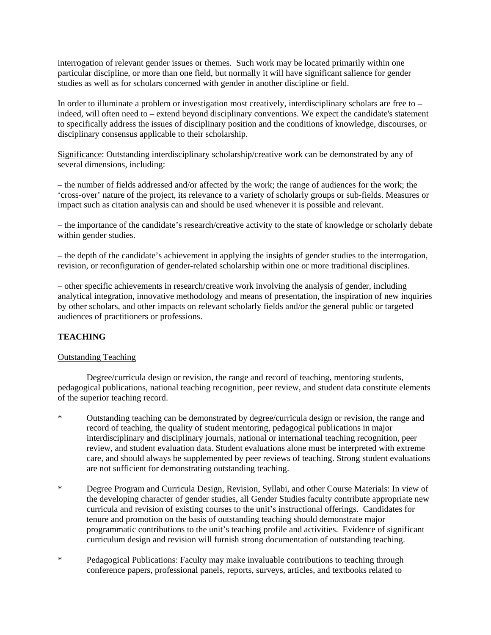interrogation of relevant gender issues or themes. Such work may be located primarily within one particular discipline, or more than one field, but normally it will have significant salience for gender studies as well as for scholars concerned with gender in another discipline or field.

In order to illuminate a problem or investigation most creatively, interdisciplinary scholars are free to – indeed, will often need to – extend beyond disciplinary conventions. We expect the candidate's statement to specifically address the issues of disciplinary position and the conditions of knowledge, discourses, or disciplinary consensus applicable to their scholarship.

Significance: Outstanding interdisciplinary scholarship/creative work can be demonstrated by any of several dimensions, including:

– the number of fields addressed and/or affected by the work; the range of audiences for the work; the 'cross-over' nature of the project, its relevance to a variety of scholarly groups or sub-fields. Measures or impact such as citation analysis can and should be used whenever it is possible and relevant.

– the importance of the candidate's research/creative activity to the state of knowledge or scholarly debate within gender studies.

– the depth of the candidate's achievement in applying the insights of gender studies to the interrogation, revision, or reconfiguration of gender-related scholarship within one or more traditional disciplines.

– other specific achievements in research/creative work involving the analysis of gender, including analytical integration, innovative methodology and means of presentation, the inspiration of new inquiries by other scholars, and other impacts on relevant scholarly fields and/or the general public or targeted audiences of practitioners or professions.

# **TEACHING**

### Outstanding Teaching

Degree/curricula design or revision, the range and record of teaching, mentoring students, pedagogical publications, national teaching recognition, peer review, and student data constitute elements of the superior teaching record.

- \* Outstanding teaching can be demonstrated by degree/curricula design or revision, the range and record of teaching, the quality of student mentoring, pedagogical publications in major interdisciplinary and disciplinary journals, national or international teaching recognition, peer review, and student evaluation data. Student evaluations alone must be interpreted with extreme care, and should always be supplemented by peer reviews of teaching. Strong student evaluations are not sufficient for demonstrating outstanding teaching.
- \* Degree Program and Curricula Design, Revision, Syllabi, and other Course Materials: In view of the developing character of gender studies, all Gender Studies faculty contribute appropriate new curricula and revision of existing courses to the unit's instructional offerings. Candidates for tenure and promotion on the basis of outstanding teaching should demonstrate major programmatic contributions to the unit's teaching profile and activities. Evidence of significant curriculum design and revision will furnish strong documentation of outstanding teaching.
- \* Pedagogical Publications: Faculty may make invaluable contributions to teaching through conference papers, professional panels, reports, surveys, articles, and textbooks related to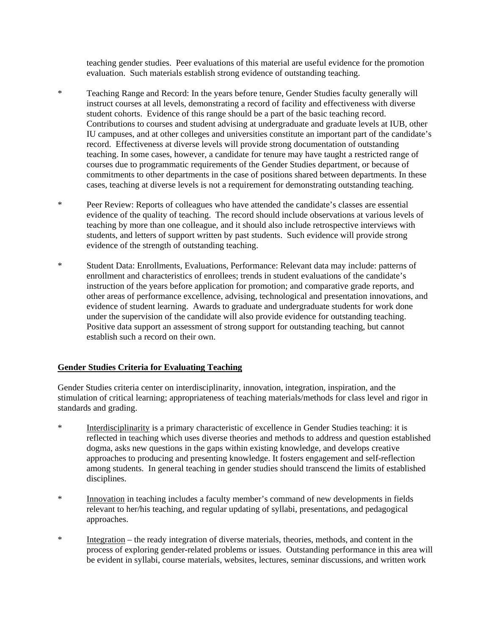teaching gender studies. Peer evaluations of this material are useful evidence for the promotion evaluation. Such materials establish strong evidence of outstanding teaching.

- \* Teaching Range and Record: In the years before tenure, Gender Studies faculty generally will instruct courses at all levels, demonstrating a record of facility and effectiveness with diverse student cohorts. Evidence of this range should be a part of the basic teaching record. Contributions to courses and student advising at undergraduate and graduate levels at IUB, other IU campuses, and at other colleges and universities constitute an important part of the candidate's record. Effectiveness at diverse levels will provide strong documentation of outstanding teaching. In some cases, however, a candidate for tenure may have taught a restricted range of courses due to programmatic requirements of the Gender Studies department, or because of commitments to other departments in the case of positions shared between departments. In these cases, teaching at diverse levels is not a requirement for demonstrating outstanding teaching.
- \* Peer Review: Reports of colleagues who have attended the candidate's classes are essential evidence of the quality of teaching. The record should include observations at various levels of teaching by more than one colleague, and it should also include retrospective interviews with students, and letters of support written by past students. Such evidence will provide strong evidence of the strength of outstanding teaching.
- \* Student Data: Enrollments, Evaluations, Performance: Relevant data may include: patterns of enrollment and characteristics of enrollees; trends in student evaluations of the candidate's instruction of the years before application for promotion; and comparative grade reports, and other areas of performance excellence, advising, technological and presentation innovations, and evidence of student learning. Awards to graduate and undergraduate students for work done under the supervision of the candidate will also provide evidence for outstanding teaching. Positive data support an assessment of strong support for outstanding teaching, but cannot establish such a record on their own.

### **Gender Studies Criteria for Evaluating Teaching**

Gender Studies criteria center on interdisciplinarity, innovation, integration, inspiration, and the stimulation of critical learning; appropriateness of teaching materials/methods for class level and rigor in standards and grading.

- \* Interdisciplinarity is a primary characteristic of excellence in Gender Studies teaching: it is reflected in teaching which uses diverse theories and methods to address and question established dogma, asks new questions in the gaps within existing knowledge, and develops creative approaches to producing and presenting knowledge. It fosters engagement and self-reflection among students. In general teaching in gender studies should transcend the limits of established disciplines.
- \* Innovation in teaching includes a faculty member's command of new developments in fields relevant to her/his teaching, and regular updating of syllabi, presentations, and pedagogical approaches.
- \* Integration the ready integration of diverse materials, theories, methods, and content in the process of exploring gender-related problems or issues. Outstanding performance in this area will be evident in syllabi, course materials, websites, lectures, seminar discussions, and written work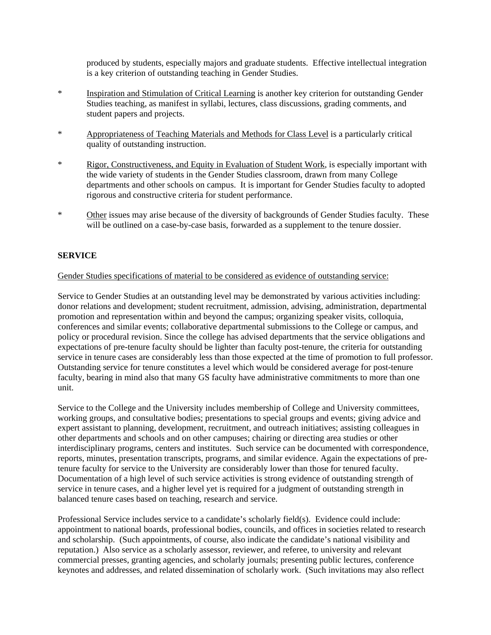produced by students, especially majors and graduate students. Effective intellectual integration is a key criterion of outstanding teaching in Gender Studies.

- \* Inspiration and Stimulation of Critical Learning is another key criterion for outstanding Gender Studies teaching, as manifest in syllabi, lectures, class discussions, grading comments, and student papers and projects.
- \* Appropriateness of Teaching Materials and Methods for Class Level is a particularly critical quality of outstanding instruction.
- \* Rigor, Constructiveness, and Equity in Evaluation of Student Work, is especially important with the wide variety of students in the Gender Studies classroom, drawn from many College departments and other schools on campus. It is important for Gender Studies faculty to adopted rigorous and constructive criteria for student performance.
- \* Other issues may arise because of the diversity of backgrounds of Gender Studies faculty. These will be outlined on a case-by-case basis, forwarded as a supplement to the tenure dossier.

# **SERVICE**

### Gender Studies specifications of material to be considered as evidence of outstanding service:

Service to Gender Studies at an outstanding level may be demonstrated by various activities including: donor relations and development; student recruitment, admission, advising, administration, departmental promotion and representation within and beyond the campus; organizing speaker visits, colloquia, conferences and similar events; collaborative departmental submissions to the College or campus, and policy or procedural revision. Since the college has advised departments that the service obligations and expectations of pre-tenure faculty should be lighter than faculty post-tenure, the criteria for outstanding service in tenure cases are considerably less than those expected at the time of promotion to full professor. Outstanding service for tenure constitutes a level which would be considered average for post-tenure faculty, bearing in mind also that many GS faculty have administrative commitments to more than one unit.

Service to the College and the University includes membership of College and University committees, working groups, and consultative bodies; presentations to special groups and events; giving advice and expert assistant to planning, development, recruitment, and outreach initiatives; assisting colleagues in other departments and schools and on other campuses; chairing or directing area studies or other interdisciplinary programs, centers and institutes. Such service can be documented with correspondence, reports, minutes, presentation transcripts, programs, and similar evidence. Again the expectations of pretenure faculty for service to the University are considerably lower than those for tenured faculty. Documentation of a high level of such service activities is strong evidence of outstanding strength of service in tenure cases, and a higher level yet is required for a judgment of outstanding strength in balanced tenure cases based on teaching, research and service.

Professional Service includes service to a candidate's scholarly field(s). Evidence could include: appointment to national boards, professional bodies, councils, and offices in societies related to research and scholarship. (Such appointments, of course, also indicate the candidate's national visibility and reputation.) Also service as a scholarly assessor, reviewer, and referee, to university and relevant commercial presses, granting agencies, and scholarly journals; presenting public lectures, conference keynotes and addresses, and related dissemination of scholarly work. (Such invitations may also reflect